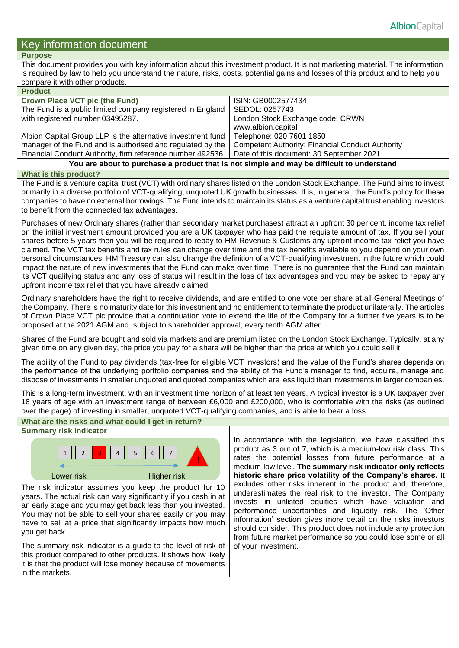# Key information document

# **Purpose**

This document provides you with key information about this investment product. It is not marketing material. The information is required by law to help you understand the nature, risks, costs, potential gains and losses of this product and to help you compare it with other products.

| <b>Product</b>                                                                            |                                                         |  |  |  |
|-------------------------------------------------------------------------------------------|---------------------------------------------------------|--|--|--|
| <b>Crown Place VCT plc (the Fund)</b>                                                     | ISIN: GB0002577434                                      |  |  |  |
| The Fund is a public limited company registered in England                                | SEDOL: 0257743                                          |  |  |  |
| with registered number 03495287.                                                          | London Stock Exchange code: CRWN                        |  |  |  |
|                                                                                           | www.albion.capital                                      |  |  |  |
| Albion Capital Group LLP is the alternative investment fund                               | Telephone: 020 7601 1850                                |  |  |  |
| manager of the Fund and is authorised and regulated by the                                | <b>Competent Authority: Financial Conduct Authority</b> |  |  |  |
| Financial Conduct Authority, firm reference number 492536.                                | Date of this document: 30 September 2021                |  |  |  |
| You are about to purchase a product that is not simple and may be difficult to understand |                                                         |  |  |  |

# **What is this product?**

The Fund is a venture capital trust (VCT) with ordinary shares listed on the London Stock Exchange. The Fund aims to invest primarily in a diverse portfolio of VCT-qualifying, unquoted UK growth businesses. It is, in general, the Fund's policy for these companies to have no external borrowings. The Fund intends to maintain its status as a venture capital trust enabling investors to benefit from the connected tax advantages.

Purchases of new Ordinary shares (rather than secondary market purchases) attract an upfront 30 per cent. income tax relief on the initial investment amount provided you are a UK taxpayer who has paid the requisite amount of tax. If you sell your shares before 5 years then you will be required to repay to HM Revenue & Customs any upfront income tax relief you have claimed. The VCT tax benefits and tax rules can change over time and the tax benefits available to you depend on your own personal circumstances. HM Treasury can also change the definition of a VCT-qualifying investment in the future which could impact the nature of new investments that the Fund can make over time. There is no guarantee that the Fund can maintain its VCT qualifying status and any loss of status will result in the loss of tax advantages and you may be asked to repay any upfront income tax relief that you have already claimed.

Ordinary shareholders have the right to receive dividends, and are entitled to one vote per share at all General Meetings of the Company. There is no maturity date for this investment and no entitlement to terminate the product unilaterally. The articles of Crown Place VCT plc provide that a continuation vote to extend the life of the Company for a further five years is to be proposed at the 2021 AGM and, subject to shareholder approval, every tenth AGM after.

Shares of the Fund are bought and sold via markets and are premium listed on the London Stock Exchange. Typically, at any given time on any given day, the price you pay for a share will be higher than the price at which you could sell it.

The ability of the Fund to pay dividends (tax-free for eligible VCT investors) and the value of the Fund's shares depends on the performance of the underlying portfolio companies and the ability of the Fund's manager to find, acquire, manage and dispose of investments in smaller unquoted and quoted companies which are less liquid than investments in larger companies.

This is a long-term investment, with an investment time horizon of at least ten years. A typical investor is a UK taxpayer over 18 years of age with an investment range of between £6,000 and £200,000, who is comfortable with the risks (as outlined over the page) of investing in smaller, unquoted VCT-qualifying companies, and is able to bear a loss.

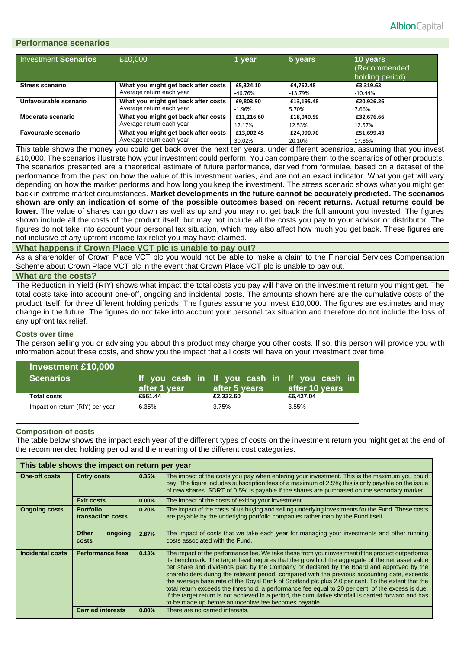| <b>Performance scenarios</b> |                                     |            |            |                                             |  |  |  |
|------------------------------|-------------------------------------|------------|------------|---------------------------------------------|--|--|--|
| <b>Investment Scenarios</b>  | £10,000                             | 1 year     | 5 years    | 10 years<br>(Recommended<br>holding period) |  |  |  |
| <b>Stress scenario</b>       | What you might get back after costs | £5,324.10  | £4.762.48  | £3,319.63                                   |  |  |  |
|                              | Average return each year            | $-46.76%$  | $-13.79%$  | $-10.44%$                                   |  |  |  |
| Unfavourable scenario        | What you might get back after costs | £9.803.90  | £13.195.48 | £20,926.26                                  |  |  |  |
|                              | Average return each year            | $-1.96%$   | 5.70%      | 7.66%                                       |  |  |  |
| Moderate scenario            | What you might get back after costs | £11,216.60 | £18.040.59 | £32,676.66                                  |  |  |  |
|                              | Average return each year            | 12.17%     | 12.53%     | 12.57%                                      |  |  |  |
| Favourable scenario          | What you might get back after costs | £13,002.45 | £24,990.70 | £51,699.43                                  |  |  |  |
|                              | Average return each year            | 30.02%     | 20.10%     | 17.86%                                      |  |  |  |

This table shows the money you could get back over the next ten years, under different scenarios, assuming that you invest £10,000. The scenarios illustrate how your investment could perform. You can compare them to the scenarios of other products. The scenarios presented are a theoretical estimate of future performance, derived from formulae, based on a dataset of the performance from the past on how the value of this investment varies, and are not an exact indicator. What you get will vary depending on how the market performs and how long you keep the investment. The stress scenario shows what you might get back in extreme market circumstances. **Market developments in the future cannot be accurately predicted. The scenarios shown are only an indication of some of the possible outcomes based on recent returns. Actual returns could be lower.** The value of shares can go down as well as up and you may not get back the full amount you invested. The figures shown include all the costs of the product itself, but may not include all the costs you pay to your advisor or distributor. The figures do not take into account your personal tax situation, which may also affect how much you get back. These figures are not inclusive of any upfront income tax relief you may have claimed.

## **What happens if Crown Place VCT plc is unable to pay out?**

As a shareholder of Crown Place VCT plc you would not be able to make a claim to the Financial Services Compensation Scheme about Crown Place VCT plc in the event that Crown Place VCT plc is unable to pay out.

## **What are the costs?**

The Reduction in Yield (RIY) shows what impact the total costs you pay will have on the investment return you might get. The total costs take into account one-off, ongoing and incidental costs. The amounts shown here are the cumulative costs of the product itself, for three different holding periods. The figures assume you invest £10,000. The figures are estimates and may change in the future. The figures do not take into account your personal tax situation and therefore do not include the loss of any upfront tax relief.

#### **Costs over time**

The person selling you or advising you about this product may charge you other costs. If so, this person will provide you with information about these costs, and show you the impact that all costs will have on your investment over time.

| <b>Investment £10,000</b><br><b>Scenarios</b> | after 1 year | If you cash in If you cash in If you cash in<br>after 5 years | after 10 years |
|-----------------------------------------------|--------------|---------------------------------------------------------------|----------------|
| <b>Total costs</b>                            | £561.44      | £2,322.60                                                     | £6,427.04      |
| Impact on return (RIY) per year               | 6.35%        | 3.75%                                                         | 3.55%          |

#### **Composition of costs**

The table below shows the impact each year of the different types of costs on the investment return you might get at the end of the recommended holding period and the meaning of the different cost categories.

| This table shows the impact on return per year |                                       |       |                                                                                                                                                                                                                                                                                                                                                                                                                                                                                                                                                                                                                                                                                                                                                                               |  |
|------------------------------------------------|---------------------------------------|-------|-------------------------------------------------------------------------------------------------------------------------------------------------------------------------------------------------------------------------------------------------------------------------------------------------------------------------------------------------------------------------------------------------------------------------------------------------------------------------------------------------------------------------------------------------------------------------------------------------------------------------------------------------------------------------------------------------------------------------------------------------------------------------------|--|
| <b>One-off costs</b><br><b>Entry costs</b>     |                                       | 0.35% | The impact of the costs you pay when entering your investment. This is the maximum you could<br>pay. The figure includes subscription fees of a maximum of 2.5%; this is only payable on the issue<br>of new shares. SDRT of 0.5% is payable if the shares are purchased on the secondary market.                                                                                                                                                                                                                                                                                                                                                                                                                                                                             |  |
|                                                | <b>Exit costs</b>                     | 0.00% | The impact of the costs of exiting your investment.                                                                                                                                                                                                                                                                                                                                                                                                                                                                                                                                                                                                                                                                                                                           |  |
| <b>Ongoing costs</b>                           | <b>Portfolio</b><br>transaction costs | 0.20% | The impact of the costs of us buying and selling underlying investments for the Fund. These costs<br>are payable by the underlying portfolio companies rather than by the Fund itself.                                                                                                                                                                                                                                                                                                                                                                                                                                                                                                                                                                                        |  |
|                                                | <b>Other</b><br>ongoing<br>costs      | 2.87% | The impact of costs that we take each year for managing your investments and other running<br>costs associated with the Fund.                                                                                                                                                                                                                                                                                                                                                                                                                                                                                                                                                                                                                                                 |  |
| Incidental costs                               | <b>Performance fees</b>               | 0.13% | The impact of the performance fee. We take these from your investment if the product outperforms<br>its benchmark. The target level requires that the growth of the aggregate of the net asset value<br>per share and dividends paid by the Company or declared by the Board and approved by the<br>shareholders during the relevant period, compared with the previous accounting date, exceeds<br>the average base rate of the Royal Bank of Scotland plc plus 2.0 per cent. To the extent that the<br>total return exceeds the threshold, a performance fee equal to 20 per cent. of the excess is due.<br>If the target return is not achieved in a period, the cumulative shortfall is carried forward and has<br>to be made up before an incentive fee becomes payable. |  |
|                                                | <b>Carried interests</b>              | 0.00% | There are no carried interests.                                                                                                                                                                                                                                                                                                                                                                                                                                                                                                                                                                                                                                                                                                                                               |  |